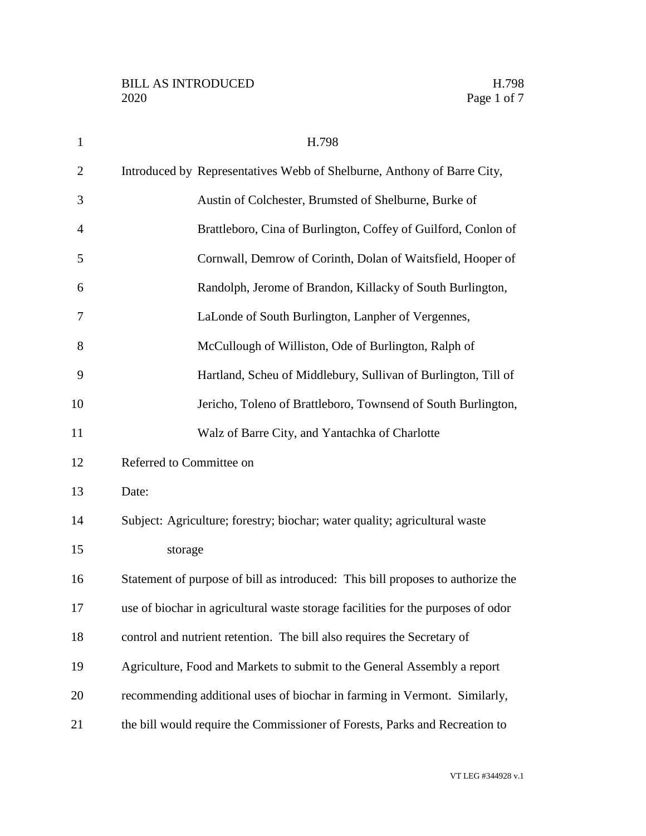| $\mathbf{1}$   | H.798                                                                            |
|----------------|----------------------------------------------------------------------------------|
| $\overline{2}$ | Introduced by Representatives Webb of Shelburne, Anthony of Barre City,          |
| 3              | Austin of Colchester, Brumsted of Shelburne, Burke of                            |
| $\overline{4}$ | Brattleboro, Cina of Burlington, Coffey of Guilford, Conlon of                   |
| 5              | Cornwall, Demrow of Corinth, Dolan of Waitsfield, Hooper of                      |
| 6              | Randolph, Jerome of Brandon, Killacky of South Burlington,                       |
| 7              | LaLonde of South Burlington, Lanpher of Vergennes,                               |
| 8              | McCullough of Williston, Ode of Burlington, Ralph of                             |
| 9              | Hartland, Scheu of Middlebury, Sullivan of Burlington, Till of                   |
| 10             | Jericho, Toleno of Brattleboro, Townsend of South Burlington,                    |
| 11             | Walz of Barre City, and Yantachka of Charlotte                                   |
| 12             | Referred to Committee on                                                         |
| 13             | Date:                                                                            |
| 14             | Subject: Agriculture; forestry; biochar; water quality; agricultural waste       |
| 15             | storage                                                                          |
| 16             | Statement of purpose of bill as introduced: This bill proposes to authorize the  |
| 17             | use of biochar in agricultural waste storage facilities for the purposes of odor |
| 18             | control and nutrient retention. The bill also requires the Secretary of          |
| 19             | Agriculture, Food and Markets to submit to the General Assembly a report         |
| 20             | recommending additional uses of biochar in farming in Vermont. Similarly,        |
| 21             | the bill would require the Commissioner of Forests, Parks and Recreation to      |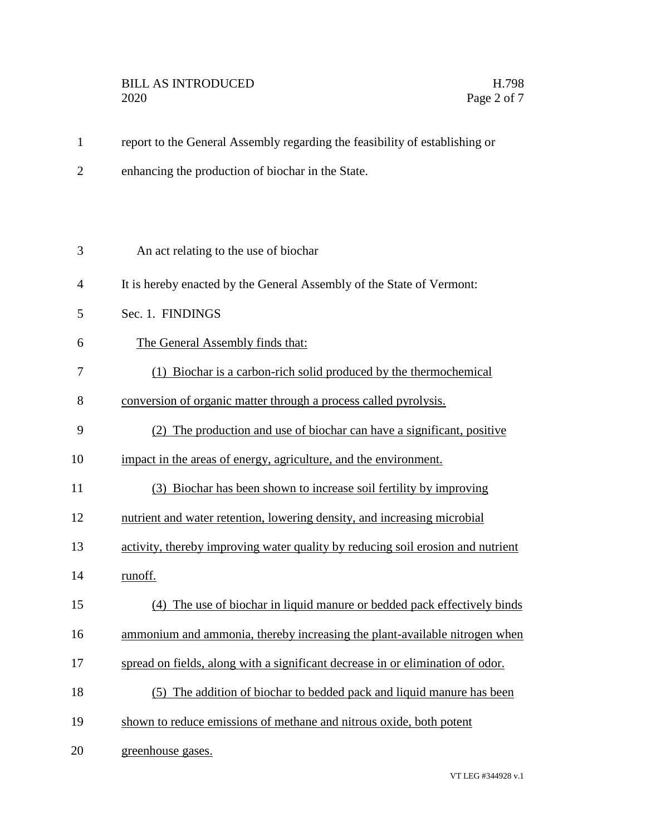- report to the General Assembly regarding the feasibility of establishing or
- enhancing the production of biochar in the State.

| 3              | An act relating to the use of biochar                                           |
|----------------|---------------------------------------------------------------------------------|
| $\overline{4}$ | It is hereby enacted by the General Assembly of the State of Vermont:           |
| 5              | Sec. 1. FINDINGS                                                                |
| 6              | The General Assembly finds that:                                                |
| 7              | (1) Biochar is a carbon-rich solid produced by the thermochemical               |
| 8              | conversion of organic matter through a process called pyrolysis.                |
| 9              | (2) The production and use of biochar can have a significant, positive          |
| 10             | impact in the areas of energy, agriculture, and the environment.                |
| 11             | (3) Biochar has been shown to increase soil fertility by improving              |
| 12             | nutrient and water retention, lowering density, and increasing microbial        |
| 13             | activity, thereby improving water quality by reducing soil erosion and nutrient |
| 14             | runoff.                                                                         |
| 15             | (4) The use of biochar in liquid manure or bedded pack effectively binds        |
| 16             | ammonium and ammonia, thereby increasing the plant-available nitrogen when      |
| 17             | spread on fields, along with a significant decrease in or elimination of odor.  |
| 18             | (5) The addition of biochar to bedded pack and liquid manure has been           |
| 19             | shown to reduce emissions of methane and nitrous oxide, both potent             |
| 20             | greenhouse gases.                                                               |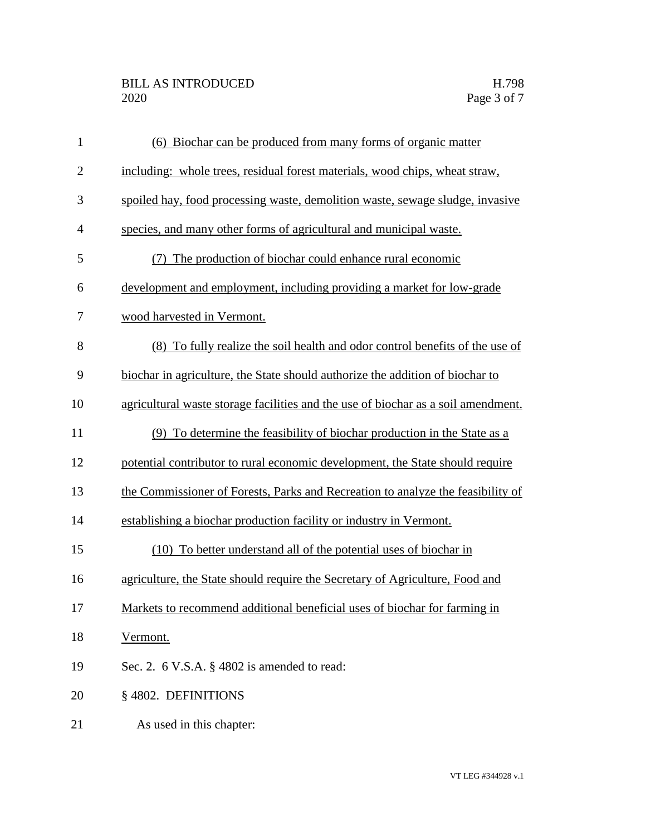## BILL AS INTRODUCED H.798<br>2020 Page 3 of 7

| $\mathbf{1}$   | (6) Biochar can be produced from many forms of organic matter                     |
|----------------|-----------------------------------------------------------------------------------|
| $\overline{2}$ | including: whole trees, residual forest materials, wood chips, wheat straw,       |
| 3              | spoiled hay, food processing waste, demolition waste, sewage sludge, invasive     |
| $\overline{4}$ | species, and many other forms of agricultural and municipal waste.                |
| 5              | The production of biochar could enhance rural economic<br>(7)                     |
| 6              | development and employment, including providing a market for low-grade            |
| 7              | wood harvested in Vermont.                                                        |
| 8              | (8) To fully realize the soil health and odor control benefits of the use of      |
| 9              | biochar in agriculture, the State should authorize the addition of biochar to     |
| 10             | agricultural waste storage facilities and the use of biochar as a soil amendment. |
| 11             | (9) To determine the feasibility of biochar production in the State as a          |
| 12             | potential contributor to rural economic development, the State should require     |
| 13             | the Commissioner of Forests, Parks and Recreation to analyze the feasibility of   |
| 14             | establishing a biochar production facility or industry in Vermont.                |
| 15             | (10) To better understand all of the potential uses of biochar in                 |
| 16             | agriculture, the State should require the Secretary of Agriculture, Food and      |
| 17             | Markets to recommend additional beneficial uses of biochar for farming in         |
| 18             | Vermont.                                                                          |
| 19             | Sec. 2. $6$ V.S.A. $\S$ 4802 is amended to read:                                  |
| 20             | §4802. DEFINITIONS                                                                |
| 21             | As used in this chapter:                                                          |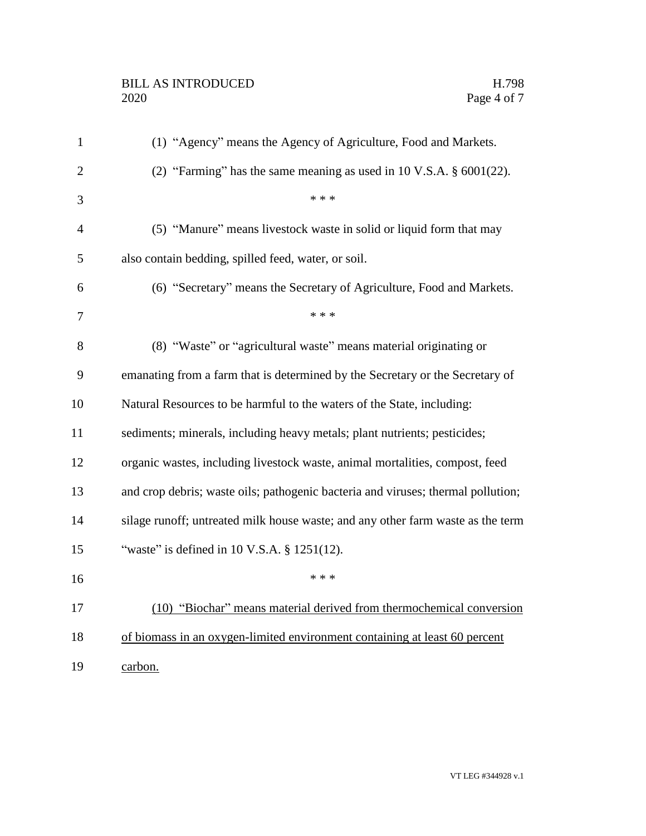## BILL AS INTRODUCED H.798<br>2020 Page 4 of 7

| $\mathbf{1}$   | (1) "Agency" means the Agency of Agriculture, Food and Markets.                    |
|----------------|------------------------------------------------------------------------------------|
| $\overline{2}$ | (2) "Farming" has the same meaning as used in $10 \text{ V.S.A. }$ \$ $6001(22)$ . |
| 3              | * * *                                                                              |
| $\overline{4}$ | (5) "Manure" means livestock waste in solid or liquid form that may                |
| 5              | also contain bedding, spilled feed, water, or soil.                                |
| 6              | (6) "Secretary" means the Secretary of Agriculture, Food and Markets.              |
| 7              | * * *                                                                              |
| 8              | (8) "Waste" or "agricultural waste" means material originating or                  |
| 9              | emanating from a farm that is determined by the Secretary or the Secretary of      |
| 10             | Natural Resources to be harmful to the waters of the State, including:             |
| 11             | sediments; minerals, including heavy metals; plant nutrients; pesticides;          |
| 12             | organic wastes, including livestock waste, animal mortalities, compost, feed       |
| 13             | and crop debris; waste oils; pathogenic bacteria and viruses; thermal pollution;   |
| 14             | silage runoff; untreated milk house waste; and any other farm waste as the term    |
| 15             | "waste" is defined in 10 V.S.A. § 1251(12).                                        |
| 16             | * * *                                                                              |
| 17             | (10) "Biochar" means material derived from thermochemical conversion               |
| 18             | of biomass in an oxygen-limited environment containing at least 60 percent         |
| 19             | carbon.                                                                            |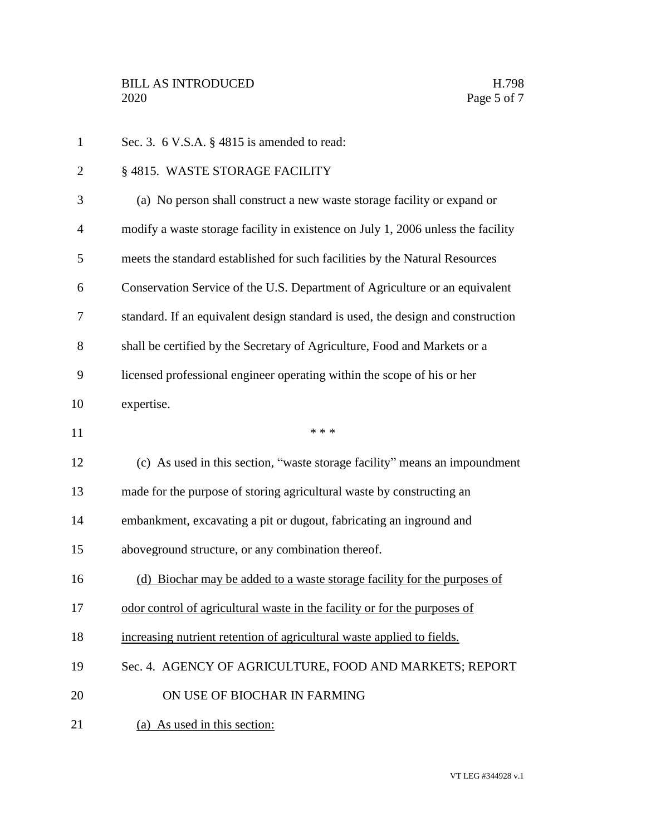| $\mathbf{1}$   | Sec. 3. $6$ V.S.A. $\S$ 4815 is amended to read:                                 |
|----------------|----------------------------------------------------------------------------------|
| $\overline{2}$ | §4815. WASTE STORAGE FACILITY                                                    |
| 3              | (a) No person shall construct a new waste storage facility or expand or          |
| $\overline{4}$ | modify a waste storage facility in existence on July 1, 2006 unless the facility |
| 5              | meets the standard established for such facilities by the Natural Resources      |
| 6              | Conservation Service of the U.S. Department of Agriculture or an equivalent      |
| 7              | standard. If an equivalent design standard is used, the design and construction  |
| 8              | shall be certified by the Secretary of Agriculture, Food and Markets or a        |
| 9              | licensed professional engineer operating within the scope of his or her          |
| 10             | expertise.                                                                       |
| 11             | * * *                                                                            |
| 12             | (c) As used in this section, "waste storage facility" means an impoundment       |
| 13             | made for the purpose of storing agricultural waste by constructing an            |
| 14             | embankment, excavating a pit or dugout, fabricating an inground and              |
| 15             | aboveground structure, or any combination thereof.                               |
| 16             | (d) Biochar may be added to a waste storage facility for the purposes of         |
| 17             | odor control of agricultural waste in the facility or for the purposes of        |
| 18             | increasing nutrient retention of agricultural waste applied to fields.           |
| 19             | Sec. 4. AGENCY OF AGRICULTURE, FOOD AND MARKETS; REPORT                          |
| 20             | ON USE OF BIOCHAR IN FARMING                                                     |
| 21             | (a) As used in this section:                                                     |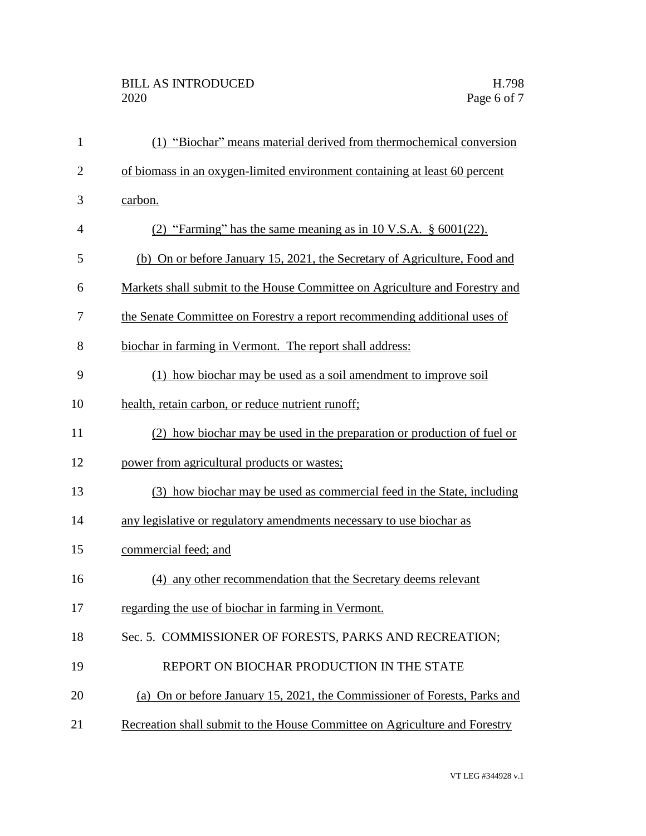| $\mathbf{1}$   | (1) "Biochar" means material derived from thermochemical conversion         |
|----------------|-----------------------------------------------------------------------------|
| $\overline{2}$ | of biomass in an oxygen-limited environment containing at least 60 percent  |
| 3              | carbon.                                                                     |
| $\overline{4}$ | (2) "Farming" has the same meaning as in 10 V.S.A. $\S$ 6001(22).           |
| 5              | (b) On or before January 15, 2021, the Secretary of Agriculture, Food and   |
| 6              | Markets shall submit to the House Committee on Agriculture and Forestry and |
| 7              | the Senate Committee on Forestry a report recommending additional uses of   |
| 8              | biochar in farming in Vermont. The report shall address:                    |
| 9              | (1) how biochar may be used as a soil amendment to improve soil             |
| 10             | health, retain carbon, or reduce nutrient runoff;                           |
| 11             | (2) how biochar may be used in the preparation or production of fuel or     |
| 12             | power from agricultural products or wastes;                                 |
| 13             | (3) how biochar may be used as commercial feed in the State, including      |
| 14             | any legislative or regulatory amendments necessary to use biochar as        |
| 15             | commercial feed; and                                                        |
| 16             | (4) any other recommendation that the Secretary deems relevant              |
| 17             | regarding the use of biochar in farming in Vermont.                         |
| 18             | Sec. 5. COMMISSIONER OF FORESTS, PARKS AND RECREATION;                      |
| 19             | REPORT ON BIOCHAR PRODUCTION IN THE STATE                                   |
| 20             | (a) On or before January 15, 2021, the Commissioner of Forests, Parks and   |
| 21             | Recreation shall submit to the House Committee on Agriculture and Forestry  |